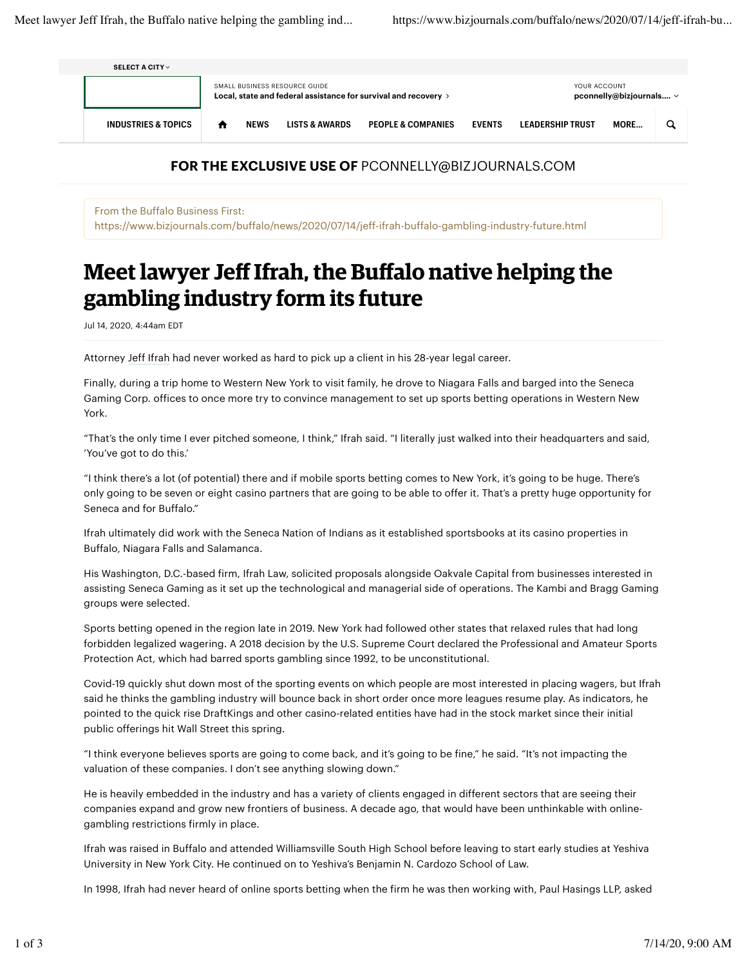| SELECT A CITY $\vee$           |                                                                                                  |             |                           |                               |               |                                              |      |  |
|--------------------------------|--------------------------------------------------------------------------------------------------|-------------|---------------------------|-------------------------------|---------------|----------------------------------------------|------|--|
|                                | SMALL BUSINESS RESOURCE GUIDE<br>Local, state and federal assistance for survival and recovery > |             |                           |                               |               | YOUR ACCOUNT<br>pconnelly@bizjournals $\vee$ |      |  |
| <b>INDUSTRIES &amp; TOPICS</b> | п                                                                                                | <b>NEWS</b> | <b>LISTS &amp; AWARDS</b> | <b>PEOPLE &amp; COMPANIES</b> | <b>EVENTS</b> | <b>LEADERSHIP TRUST</b>                      | MORE |  |

## **FOR THE EXCLUSIVE USE OF** PCONNELLY@BIZJOURNALS.COM

From the Buffalo Business First: https://www.bizjournals.com/buffalo/news/2020/07/14/jeff-ifrah-buffalo-gambling-industry-future.html

## **Meet lawyer Jeff Ifrah, the Buffalo native helping the gambling industry form its future**

Jul 14, 2020, 4:44am EDT

Attorney Jeff Ifrah had never worked as hard to pick up a client in his 28-year legal career.

Finally, during a trip home to Western New York to visit family, he drove to Niagara Falls and barged into the Seneca Gaming Corp. offices to once more try to convince management to set up sports betting operations in Western New York.

"That's the only time I ever pitched someone, I think," Ifrah said. "I literally just walked into their headquarters and said, 'You've got to do this.'

"I think there's a lot (of potential) there and if mobile sports betting comes to New York, it's going to be huge. There's only going to be seven or eight casino partners that are going to be able to offer it. That's a pretty huge opportunity for Seneca and for Buffalo."

Ifrah ultimately did work with the Seneca Nation of Indians as it established sportsbooks at its casino properties in Buffalo, Niagara Falls and Salamanca.

His Washington, D.C.-based firm, Ifrah Law, solicited proposals alongside Oakvale Capital from businesses interested in assisting Seneca Gaming as it set up the technological and managerial side of operations. The Kambi and Bragg Gaming groups were selected.

Sports betting opened in the region late in 2019. New York had followed other states that relaxed rules that had long forbidden legalized wagering. A 2018 decision by the U.S. Supreme Court declared the Professional and Amateur Sports Protection Act, which had barred sports gambling since 1992, to be unconstitutional.

Covid-19 quickly shut down most of the sporting events on which people are most interested in placing wagers, but Ifrah said he thinks the gambling industry will bounce back in short order once more leagues resume play. As indicators, he pointed to the quick rise DraftKings and other casino-related entities have had in the stock market since their initial public offerings hit Wall Street this spring.

"I think everyone believes sports are going to come back, and it's going to be fine," he said. "It's not impacting the valuation of these companies. I don't see anything slowing down."

He is heavily embedded in the industry and has a variety of clients engaged in different sectors that are seeing their companies expand and grow new frontiers of business. A decade ago, that would have been unthinkable with onlinegambling restrictions firmly in place.

Ifrah was raised in Buffalo and attended Williamsville South High School before leaving to start early studies at Yeshiva University in New York City. He continued on to Yeshiva's Benjamin N. Cardozo School of Law.

In 1998, Ifrah had never heard of online sports betting when the firm he was then working with, Paul Hasings LLP, asked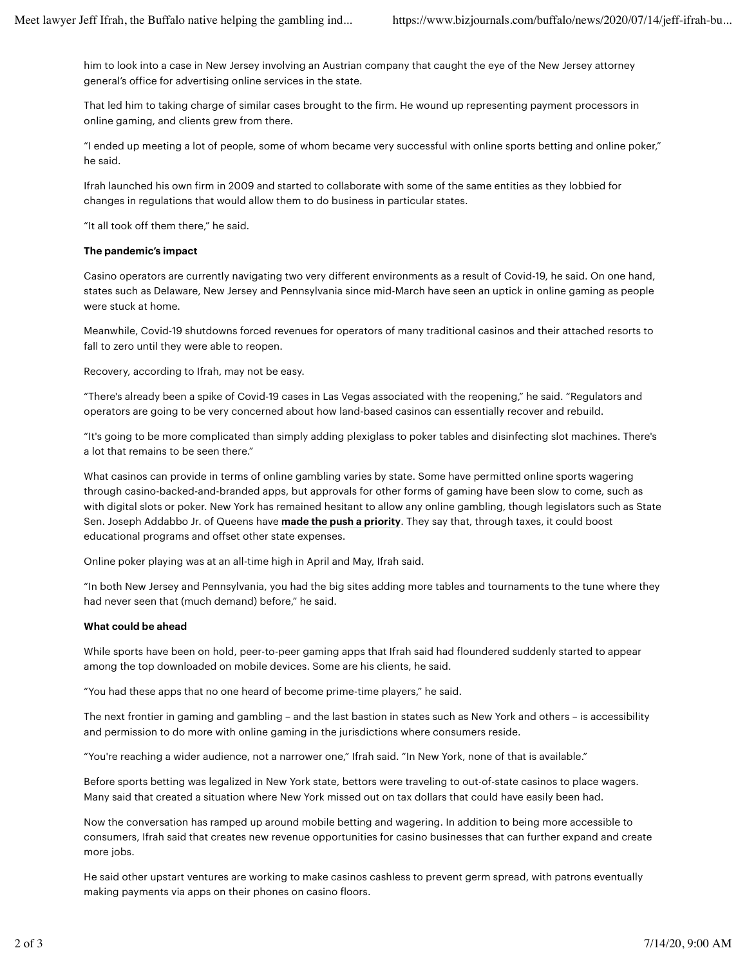him to look into a case in New Jersey involving an Austrian company that caught the eye of the New Jersey attorney general's office for advertising online services in the state.

That led him to taking charge of similar cases brought to the firm. He wound up representing payment processors in online gaming, and clients grew from there.

"I ended up meeting a lot of people, some of whom became very successful with online sports betting and online poker," he said.

Ifrah launched his own firm in 2009 and started to collaborate with some of the same entities as they lobbied for changes in regulations that would allow them to do business in particular states.

"It all took off them there," he said.

## **The pandemic's impact**

Casino operators are currently navigating two very different environments as a result of Covid-19, he said. On one hand, states such as Delaware, New Jersey and Pennsylvania since mid-March have seen an uptick in online gaming as people were stuck at home.

Meanwhile, Covid-19 shutdowns forced revenues for operators of many traditional casinos and their attached resorts to fall to zero until they were able to reopen.

Recovery, according to Ifrah, may not be easy.

"There's already been a spike of Covid-19 cases in Las Vegas associated with the reopening," he said. "Regulators and operators are going to be very concerned about how land-based casinos can essentially recover and rebuild.

"It's going to be more complicated than simply adding plexiglass to poker tables and disinfecting slot machines. There's a lot that remains to be seen there."

What casinos can provide in terms of online gambling varies by state. Some have permitted online sports wagering through casino-backed-and-branded apps, but approvals for other forms of gaming have been slow to come, such as with digital slots or poker. New York has remained hesitant to allow any online gambling, though legislators such as State Sen. Joseph Addabbo Jr. of Queens have **made the push a priority**. They say that, through taxes, it could boost educational programs and offset other state expenses.

Online poker playing was at an all-time high in April and May, Ifrah said.

"In both New Jersey and Pennsylvania, you had the big sites adding more tables and tournaments to the tune where they had never seen that (much demand) before," he said.

## **What could be ahead**

While sports have been on hold, peer-to-peer gaming apps that Ifrah said had floundered suddenly started to appear among the top downloaded on mobile devices. Some are his clients, he said.

"You had these apps that no one heard of become prime-time players," he said.

The next frontier in gaming and gambling – and the last bastion in states such as New York and others – is accessibility and permission to do more with online gaming in the jurisdictions where consumers reside.

"You're reaching a wider audience, not a narrower one," Ifrah said. "In New York, none of that is available."

Before sports betting was legalized in New York state, bettors were traveling to out-of-state casinos to place wagers. Many said that created a situation where New York missed out on tax dollars that could have easily been had.

Now the conversation has ramped up around mobile betting and wagering. In addition to being more accessible to consumers, Ifrah said that creates new revenue opportunities for casino businesses that can further expand and create more jobs.

He said other upstart ventures are working to make casinos cashless to prevent germ spread, with patrons eventually making payments via apps on their phones on casino floors.